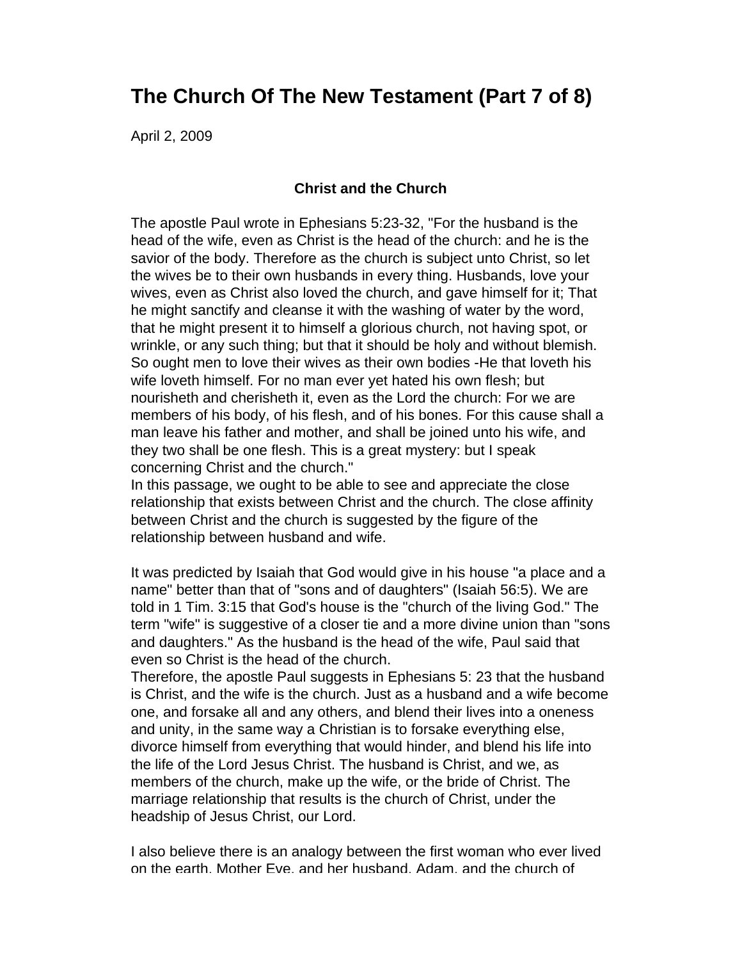## **The Church Of The New Testament (Part 7 of 8)**

April 2, 2009

## **Christ and the Church**

The apostle Paul wrote in Ephesians 5:23-32, "For the husband is the head of the wife, even as Christ is the head of the church: and he is the savior of the body. Therefore as the church is subject unto Christ, so let the wives be to their own husbands in every thing. Husbands, love your wives, even as Christ also loved the church, and gave himself for it; That he might sanctify and cleanse it with the washing of water by the word, that he might present it to himself a glorious church, not having spot, or wrinkle, or any such thing; but that it should be holy and without blemish. So ought men to love their wives as their own bodies -He that loveth his wife loveth himself. For no man ever yet hated his own flesh; but nourisheth and cherisheth it, even as the Lord the church: For we are members of his body, of his flesh, and of his bones. For this cause shall a man leave his father and mother, and shall be joined unto his wife, and they two shall be one flesh. This is a great mystery: but I speak concerning Christ and the church."

In this passage, we ought to be able to see and appreciate the close relationship that exists between Christ and the church. The close affinity between Christ and the church is suggested by the figure of the relationship between husband and wife.

It was predicted by Isaiah that God would give in his house "a place and a name" better than that of "sons and of daughters" (Isaiah 56:5). We are told in 1 Tim. 3:15 that God's house is the "church of the living God." The term "wife" is suggestive of a closer tie and a more divine union than "sons and daughters." As the husband is the head of the wife, Paul said that even so Christ is the head of the church.

Therefore, the apostle Paul suggests in Ephesians 5: 23 that the husband is Christ, and the wife is the church. Just as a husband and a wife become one, and forsake all and any others, and blend their lives into a oneness and unity, in the same way a Christian is to forsake everything else, divorce himself from everything that would hinder, and blend his life into the life of the Lord Jesus Christ. The husband is Christ, and we, as members of the church, make up the wife, or the bride of Christ. The marriage relationship that results is the church of Christ, under the headship of Jesus Christ, our Lord.

I also believe there is an analogy between the first woman who ever lived on the earth, Mother Eve, and her husband, Adam, and the church of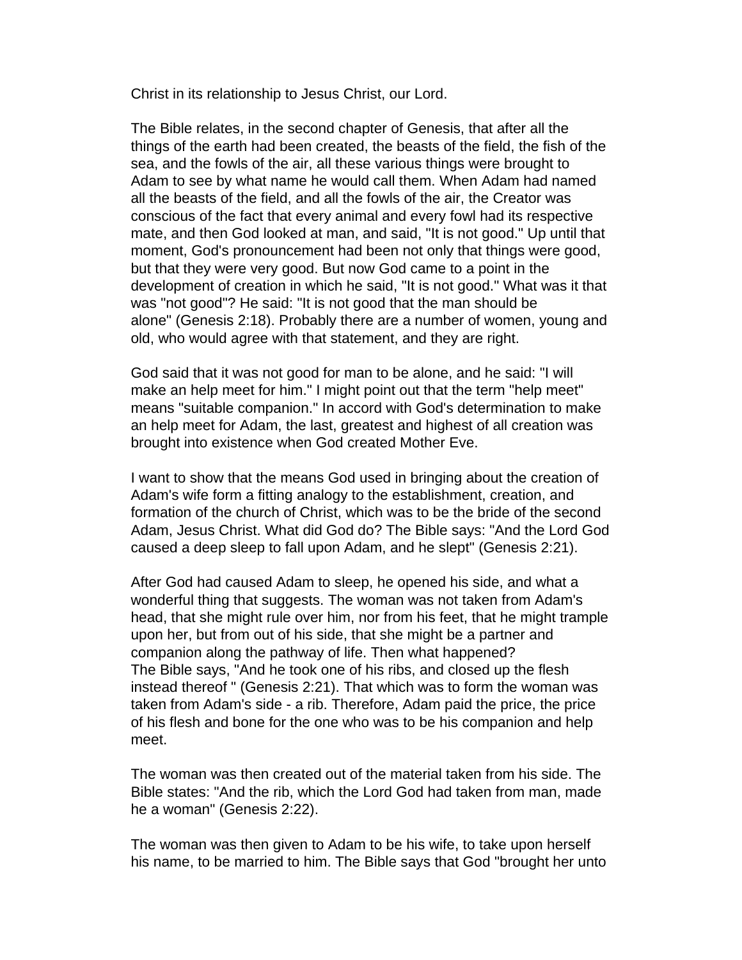Christ in its relationship to Jesus Christ, our Lord.

The Bible relates, in the second chapter of Genesis, that after all the things of the earth had been created, the beasts of the field, the fish of the sea, and the fowls of the air, all these various things were brought to Adam to see by what name he would call them. When Adam had named all the beasts of the field, and all the fowls of the air, the Creator was conscious of the fact that every animal and every fowl had its respective mate, and then God looked at man, and said, "It is not good." Up until that moment, God's pronouncement had been not only that things were good, but that they were very good. But now God came to a point in the development of creation in which he said, "It is not good." What was it that was "not good"? He said: "It is not good that the man should be alone" (Genesis 2:18). Probably there are a number of women, young and old, who would agree with that statement, and they are right.

God said that it was not good for man to be alone, and he said: "I will make an help meet for him." I might point out that the term "help meet" means "suitable companion." In accord with God's determination to make an help meet for Adam, the last, greatest and highest of all creation was brought into existence when God created Mother Eve.

I want to show that the means God used in bringing about the creation of Adam's wife form a fitting analogy to the establishment, creation, and formation of the church of Christ, which was to be the bride of the second Adam, Jesus Christ. What did God do? The Bible says: "And the Lord God caused a deep sleep to fall upon Adam, and he slept" (Genesis 2:21).

After God had caused Adam to sleep, he opened his side, and what a wonderful thing that suggests. The woman was not taken from Adam's head, that she might rule over him, nor from his feet, that he might trample upon her, but from out of his side, that she might be a partner and companion along the pathway of life. Then what happened? The Bible says, "And he took one of his ribs, and closed up the flesh instead thereof " (Genesis 2:21). That which was to form the woman was taken from Adam's side - a rib. Therefore, Adam paid the price, the price of his flesh and bone for the one who was to be his companion and help meet.

The woman was then created out of the material taken from his side. The Bible states: "And the rib, which the Lord God had taken from man, made he a woman" (Genesis 2:22).

The woman was then given to Adam to be his wife, to take upon herself his name, to be married to him. The Bible says that God "brought her unto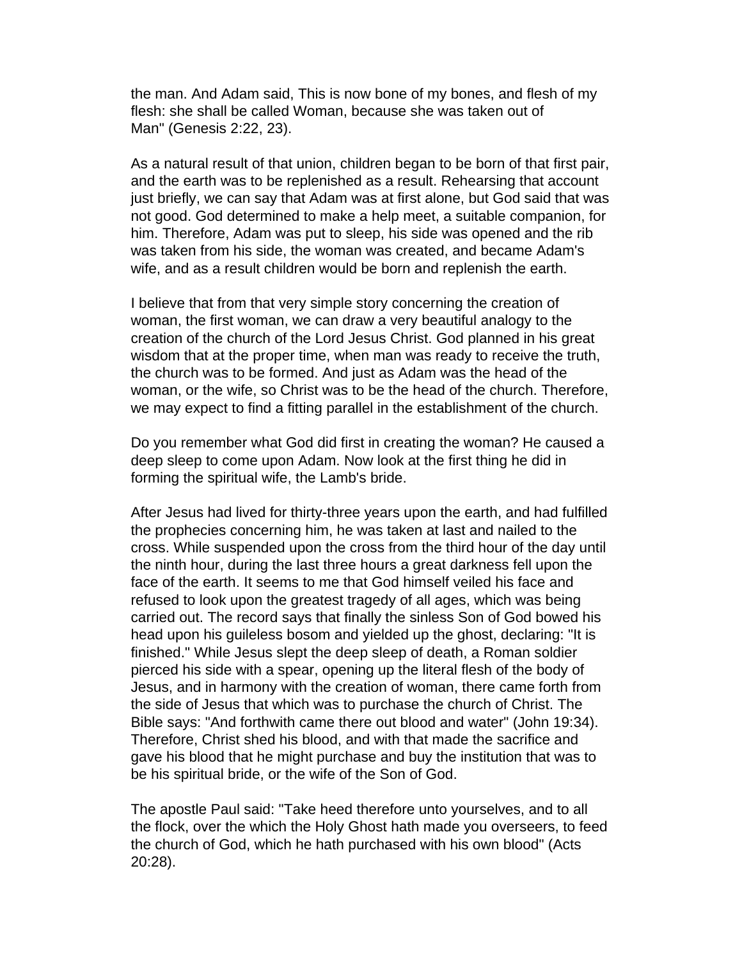the man. And Adam said, This is now bone of my bones, and flesh of my flesh: she shall be called Woman, because she was taken out of Man" (Genesis 2:22, 23).

As a natural result of that union, children began to be born of that first pair, and the earth was to be replenished as a result. Rehearsing that account just briefly, we can say that Adam was at first alone, but God said that was not good. God determined to make a help meet, a suitable companion, for him. Therefore, Adam was put to sleep, his side was opened and the rib was taken from his side, the woman was created, and became Adam's wife, and as a result children would be born and replenish the earth.

I believe that from that very simple story concerning the creation of woman, the first woman, we can draw a very beautiful analogy to the creation of the church of the Lord Jesus Christ. God planned in his great wisdom that at the proper time, when man was ready to receive the truth, the church was to be formed. And just as Adam was the head of the woman, or the wife, so Christ was to be the head of the church. Therefore, we may expect to find a fitting parallel in the establishment of the church.

Do you remember what God did first in creating the woman? He caused a deep sleep to come upon Adam. Now look at the first thing he did in forming the spiritual wife, the Lamb's bride.

After Jesus had lived for thirty-three years upon the earth, and had fulfilled the prophecies concerning him, he was taken at last and nailed to the cross. While suspended upon the cross from the third hour of the day until the ninth hour, during the last three hours a great darkness fell upon the face of the earth. It seems to me that God himself veiled his face and refused to look upon the greatest tragedy of all ages, which was being carried out. The record says that finally the sinless Son of God bowed his head upon his guileless bosom and yielded up the ghost, declaring: "It is finished." While Jesus slept the deep sleep of death, a Roman soldier pierced his side with a spear, opening up the literal flesh of the body of Jesus, and in harmony with the creation of woman, there came forth from the side of Jesus that which was to purchase the church of Christ. The Bible says: "And forthwith came there out blood and water" (John 19:34). Therefore, Christ shed his blood, and with that made the sacrifice and gave his blood that he might purchase and buy the institution that was to be his spiritual bride, or the wife of the Son of God.

The apostle Paul said: "Take heed therefore unto yourselves, and to all the flock, over the which the Holy Ghost hath made you overseers, to feed the church of God, which he hath purchased with his own blood" (Acts 20:28).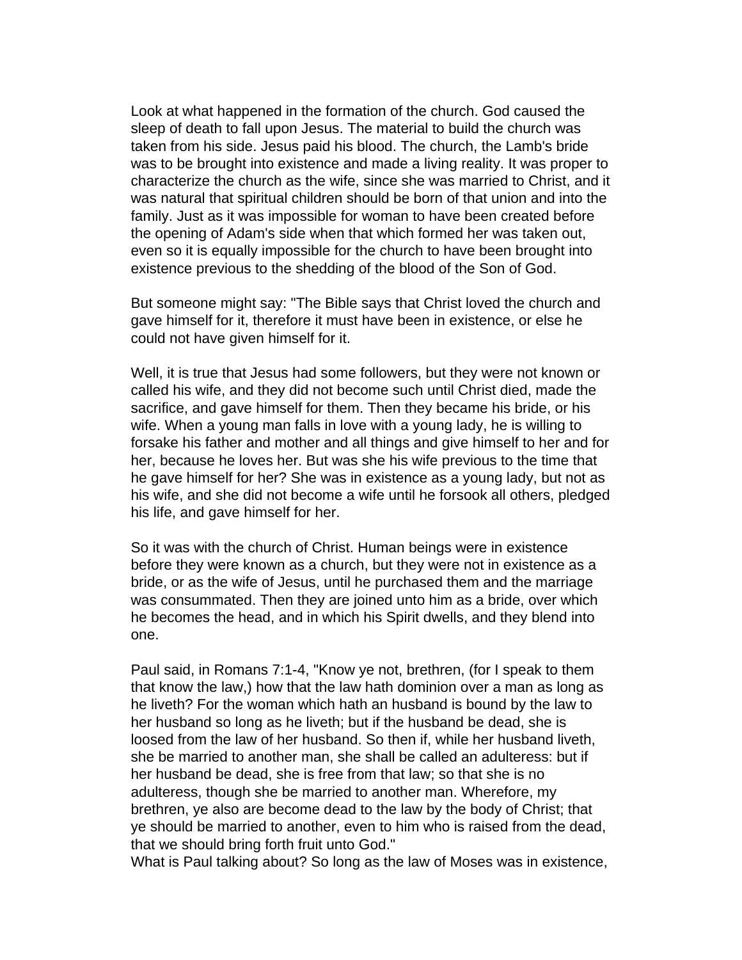Look at what happened in the formation of the church. God caused the sleep of death to fall upon Jesus. The material to build the church was taken from his side. Jesus paid his blood. The church, the Lamb's bride was to be brought into existence and made a living reality. It was proper to characterize the church as the wife, since she was married to Christ, and it was natural that spiritual children should be born of that union and into the family. Just as it was impossible for woman to have been created before the opening of Adam's side when that which formed her was taken out, even so it is equally impossible for the church to have been brought into existence previous to the shedding of the blood of the Son of God.

But someone might say: "The Bible says that Christ loved the church and gave himself for it, therefore it must have been in existence, or else he could not have given himself for it.

Well, it is true that Jesus had some followers, but they were not known or called his wife, and they did not become such until Christ died, made the sacrifice, and gave himself for them. Then they became his bride, or his wife. When a young man falls in love with a young lady, he is willing to forsake his father and mother and all things and give himself to her and for her, because he loves her. But was she his wife previous to the time that he gave himself for her? She was in existence as a young lady, but not as his wife, and she did not become a wife until he forsook all others, pledged his life, and gave himself for her.

So it was with the church of Christ. Human beings were in existence before they were known as a church, but they were not in existence as a bride, or as the wife of Jesus, until he purchased them and the marriage was consummated. Then they are joined unto him as a bride, over which he becomes the head, and in which his Spirit dwells, and they blend into one.

Paul said, in Romans 7:1-4, "Know ye not, brethren, (for I speak to them that know the law,) how that the law hath dominion over a man as long as he liveth? For the woman which hath an husband is bound by the law to her husband so long as he liveth; but if the husband be dead, she is loosed from the law of her husband. So then if, while her husband liveth, she be married to another man, she shall be called an adulteress: but if her husband be dead, she is free from that law; so that she is no adulteress, though she be married to another man. Wherefore, my brethren, ye also are become dead to the law by the body of Christ; that ye should be married to another, even to him who is raised from the dead, that we should bring forth fruit unto God."

What is Paul talking about? So long as the law of Moses was in existence,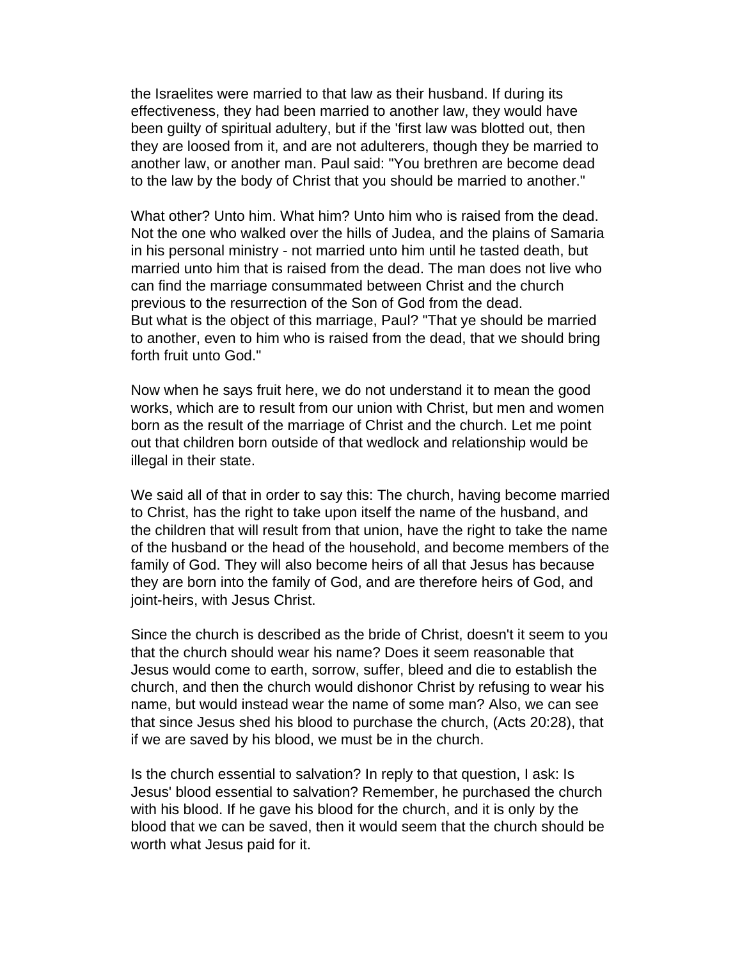the Israelites were married to that law as their husband. If during its effectiveness, they had been married to another law, they would have been guilty of spiritual adultery, but if the 'first law was blotted out, then they are loosed from it, and are not adulterers, though they be married to another law, or another man. Paul said: "You brethren are become dead to the law by the body of Christ that you should be married to another."

What other? Unto him. What him? Unto him who is raised from the dead. Not the one who walked over the hills of Judea, and the plains of Samaria in his personal ministry - not married unto him until he tasted death, but married unto him that is raised from the dead. The man does not live who can find the marriage consummated between Christ and the church previous to the resurrection of the Son of God from the dead. But what is the object of this marriage, Paul? "That ye should be married to another, even to him who is raised from the dead, that we should bring forth fruit unto God."

Now when he says fruit here, we do not understand it to mean the good works, which are to result from our union with Christ, but men and women born as the result of the marriage of Christ and the church. Let me point out that children born outside of that wedlock and relationship would be illegal in their state.

We said all of that in order to say this: The church, having become married to Christ, has the right to take upon itself the name of the husband, and the children that will result from that union, have the right to take the name of the husband or the head of the household, and become members of the family of God. They will also become heirs of all that Jesus has because they are born into the family of God, and are therefore heirs of God, and joint-heirs, with Jesus Christ.

Since the church is described as the bride of Christ, doesn't it seem to you that the church should wear his name? Does it seem reasonable that Jesus would come to earth, sorrow, suffer, bleed and die to establish the church, and then the church would dishonor Christ by refusing to wear his name, but would instead wear the name of some man? Also, we can see that since Jesus shed his blood to purchase the church, (Acts 20:28), that if we are saved by his blood, we must be in the church.

Is the church essential to salvation? In reply to that question, I ask: Is Jesus' blood essential to salvation? Remember, he purchased the church with his blood. If he gave his blood for the church, and it is only by the blood that we can be saved, then it would seem that the church should be worth what Jesus paid for it.